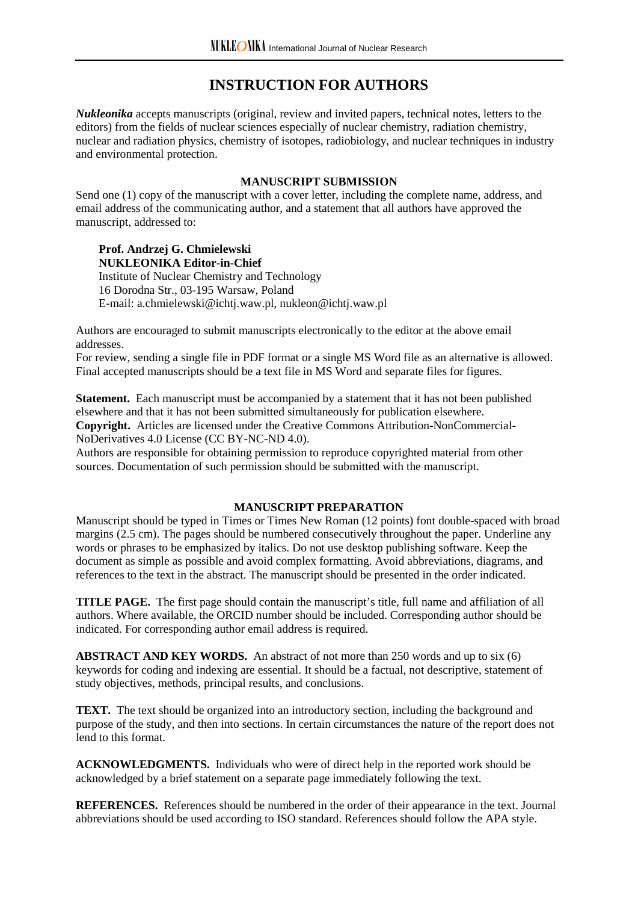# **INSTRUCTION FOR AUTHORS**

*Nukleonika* accepts manuscripts (original, review and invited papers, technical notes, letters to the editors) from the fields of nuclear sciences especially of nuclear chemistry, radiation chemistry, nuclear and radiation physics, chemistry of isotopes, radiobiology, and nuclear techniques in industry and environmental protection.

#### **MANUSCRIPT SUBMISSION**

Send one (1) copy of the manuscript with a cover letter, including the complete name, address, and email address of the communicating author, and a statement that all authors have approved the manuscript, addressed to:

# **Prof. Andrzej G. Chmielewski NUKLEONIKA Editor-in-Chief**

Institute of Nuclear Chemistry and Technology 16 Dorodna Str., 03-195 Warsaw, Poland E-mail: a.chmielewski@ichtj.waw.pl, nukleon@ichtj.waw.pl

Authors are encouraged to submit manuscripts electronically to the editor at the above email addresses.

For review, sending a single file in PDF format or a single MS Word file as an alternative is allowed. Final accepted manuscripts should be a text file in MS Word and separate files for figures.

**Statement.** Each manuscript must be accompanied by a statement that it has not been published elsewhere and that it has not been submitted simultaneously for publication elsewhere. **Copyright.** Articles are licensed under the Creative Commons Attribution-NonCommercial-NoDerivatives 4.0 License (CC BY-NC-ND 4.0).

Authors are responsible for obtaining permission to reproduce copyrighted material from other sources. Documentation of such permission should be submitted with the manuscript.

#### **MANUSCRIPT PREPARATION**

Manuscript should be typed in Times or Times New Roman (12 points) font double-spaced with broad margins (2.5 cm). The pages should be numbered consecutively throughout the paper. Underline any words or phrases to be emphasized by italics. Do not use desktop publishing software. Keep the document as simple as possible and avoid complex formatting. Avoid abbreviations, diagrams, and references to the text in the abstract. The manuscript should be presented in the order indicated.

**TITLE PAGE.** The first page should contain the manuscript's title, full name and affiliation of all authors. Where available, the ORCID number should be included. Corresponding author should be indicated. For corresponding author email address is required.

**ABSTRACT AND KEY WORDS.** An abstract of not more than 250 words and up to six (6) keywords for coding and indexing are essential. It should be a factual, not descriptive, statement of study objectives, methods, principal results, and conclusions.

**TEXT.** The text should be organized into an introductory section, including the background and purpose of the study, and then into sections. In certain circumstances the nature of the report does not lend to this format.

**ACKNOWLEDGMENTS.** Individuals who were of direct help in the reported work should be acknowledged by a brief statement on a separate page immediately following the text.

**REFERENCES.** References should be numbered in the order of their appearance in the text. Journal abbreviations should be used according to ISO standard. References should follow the APA style.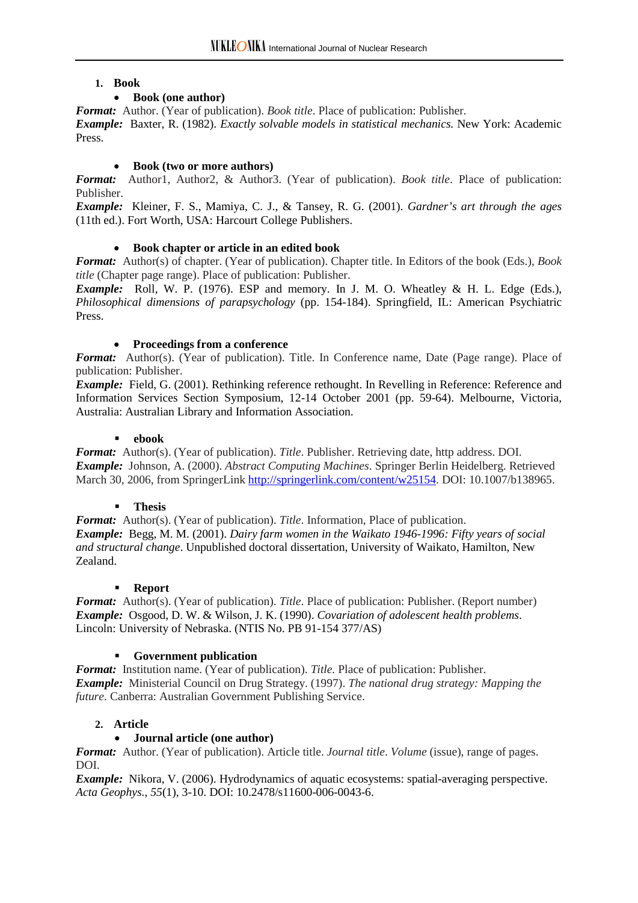#### **1. Book**

# • **Book (one author)**

*Format:* Author. (Year of publication). *Book title*. Place of publication: Publisher. *Example:* Baxter, R. (1982). *Exactly solvable models in statistical mechanics.* New York: Academic Press.

# • **Book (two or more authors)**

*Format:* Author1, Author2, & Author3. (Year of publication). *Book title*. Place of publication: Publisher.

*Example:* Kleiner, F. S., Mamiya, C. J., & Tansey, R. G. (2001). *Gardner's art through the ages* (11th ed.). Fort Worth, USA: Harcourt College Publishers.

# • **Book chapter or article in an edited book**

*Format:* Author(s) of chapter. (Year of publication). Chapter title. In Editors of the book (Eds.), *Book title* (Chapter page range). Place of publication: Publisher.

*Example:* Roll, W. P. (1976). ESP and memory. In J. M. O. Wheatley & H. L. Edge (Eds.), *Philosophical dimensions of parapsychology* (pp. 154-184). Springfield, IL: American Psychiatric Press.

# • **Proceedings from a conference**

*Format:* Author(s). (Year of publication). Title. In Conference name, Date (Page range). Place of publication: Publisher.

*Example:* Field, G. (2001). Rethinking reference rethought. In Revelling in Reference: Reference and Information Services Section Symposium, 12-14 October 2001 (pp. 59-64). Melbourne, Victoria, Australia: Australian Library and Information Association.

# **ebook**

*Format:* Author(s). (Year of publication). *Title*. Publisher. Retrieving date, http address. DOI. *Example:* Johnson, A. (2000). *Abstract Computing Machines*. Springer Berlin Heidelberg. Retrieved March 30, 2006, from SpringerLink [http://springerlink.com/content/w25154.](http://springerlink.com/content/w25154) DOI: 10.1007/b138965.

#### **Thesis**

*Format:* Author(s). (Year of publication). *Title*. Information, Place of publication. *Example:* Begg, M. M. (2001). *Dairy farm women in the Waikato 1946-1996: Fifty years of social and structural change*. Unpublished doctoral dissertation, University of Waikato, Hamilton, New Zealand.

#### **Report**

*Format:* Author(s). (Year of publication). *Title*. Place of publication: Publisher. (Report number) *Example:* Osgood, D. W. & Wilson, J. K. (1990). *Covariation of adolescent health problems*. Lincoln: University of Nebraska. (NTIS No. PB 91-154 377/AS)

# **Government publication**

*Format:* Institution name. (Year of publication). *Title.* Place of publication: Publisher. *Example:* Ministerial Council on Drug Strategy. (1997). *The national drug strategy: Mapping the future*. Canberra: Australian Government Publishing Service.

# **2. Article**

# • **Journal article (one author)**

*Format:* Author. (Year of publication). Article title. *Journal title*. *Volume* (issue), range of pages. DOI.

*Example:* Nikora, V. (2006). Hydrodynamics of aquatic ecosystems: spatial-averaging perspective. *Acta Geophys.*, *55*(1), 3-10. DOI: 10.2478/s11600-006-0043-6.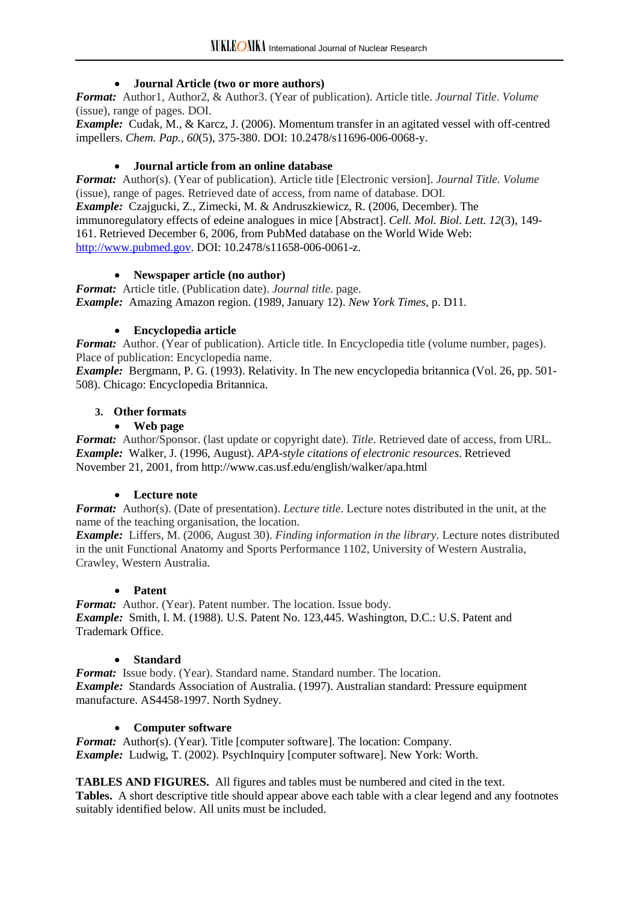# • **Journal Article (two or more authors)**

*Format:* Author1, Author2, & Author3. (Year of publication). Article title. *Journal Title*. *Volume* (issue), range of pages. DOI.

*Example:* Cudak, M., & Karcz, J. (2006). Momentum transfer in an agitated vessel with off-centred impellers. *Chem. Pap.*, *60*(5), 375-380. DOI: 10.2478/s11696-006-0068-y.

# • **Journal article from an online database**

*Format:* Author(s). (Year of publication). Article title [Electronic version]. *Journal Title. Volume* (issue), range of pages. Retrieved date of access, from name of database. DOI. *Example:* Czajgucki, Z., Zimecki, M. & Andruszkiewicz, R. (2006, December). The immunoregulatory effects of edeine analogues in mice [Abstract]. *Cell. Mol. Biol. Lett. 12*(3), 149- 161. Retrieved December 6, 2006, from PubMed database on the World Wide Web: [http://www.pubmed.gov.](http://www.pubmed.gov/) DOI: 10.2478/s11658-006-0061-z.

# • **Newspaper article (no author)**

*Format:* Article title. (Publication date). *Journal title*. page. *Example:* Amazing Amazon region. (1989, January 12). *New York Times*, p. D11.

# • **Encyclopedia article**

*Format:* Author. (Year of publication). Article title. In Encyclopedia title (volume number, pages). Place of publication: Encyclopedia name.

*Example:* Bergmann, P. G. (1993). Relativity. In The new encyclopedia britannica (Vol. 26, pp. 501- 508). Chicago: Encyclopedia Britannica.

# **3. Other formats**

# • **Web page**

*Format:* Author/Sponsor. (last update or copyright date). *Title*. Retrieved date of access, from URL. *Example:* Walker, J. (1996, August). *APA-style citations of electronic resources*. Retrieved November 21, 2001, from http://www.cas.usf.edu/english/walker/apa.html

#### • **Lecture note**

*Format:* Author(s). (Date of presentation). *Lecture title*. Lecture notes distributed in the unit, at the name of the teaching organisation, the location.

*Example:* Liffers, M. (2006, August 30). *Finding information in the library*. Lecture notes distributed in the unit Functional Anatomy and Sports Performance 1102, University of Western Australia, Crawley, Western Australia.

#### • **Patent**

*Format:* Author. (Year). Patent number. The location. Issue body. *Example:* Smith, I. M. (1988). U.S. Patent No. 123,445. Washington, D.C.: U.S. Patent and Trademark Office.

#### • **Standard**

*Format:* Issue body. (Year). Standard name. Standard number. The location. *Example:* Standards Association of Australia. (1997). Australian standard: Pressure equipment manufacture. AS4458-1997. North Sydney.

#### • **Computer software**

*Format:* Author(s). (Year). Title [computer software]. The location: Company. *Example:* Ludwig, T. (2002). PsychInquiry [computer software]. New York: Worth.

**TABLES AND FIGURES.** All figures and tables must be numbered and cited in the text.

**Tables.** A short descriptive title should appear above each table with a clear legend and any footnotes suitably identified below. All units must be included.